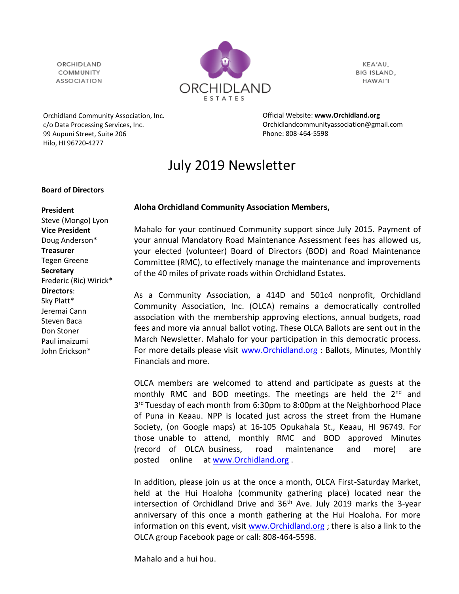ORCHIDI AND COMMUNITY **ASSOCIATION** 



KEA'AU, BIG ISLAND, HAWAI'I

Orchidland Community Association, Inc. c/o Data Processing Services, Inc. 99 Aupuni Street, Suite 206 Hilo, HI 96720-4277

Official Website: **[www.Orchidland.org](http://www.orchidland.org/)** Orchidlandcommunityassociation@gmail.com Phone: 808-464-5598

# July 2019 Newsletter

#### **Board of Directors**

## **Aloha Orchidland Community Association Members,**

Mahalo for your continued Community support since July 2015. Payment of your annual Mandatory Road Maintenance Assessment fees has allowed us, your elected (volunteer) Board of Directors (BOD) and Road Maintenance Committee (RMC), to effectively manage the maintenance and improvements of the 40 miles of private roads within Orchidland Estates.

As a Community Association, a 414D and 501c4 nonprofit, Orchidland Community Association, Inc. (OLCA) remains a democratically controlled association with the membership approving elections, annual budgets, road fees and more via annual ballot voting. These OLCA Ballots are sent out in the March Newsletter. Mahalo for your participation in this democratic process. For more details please visit [www.Orchidland.org](http://www.orchidland.org/) : Ballots, Minutes, Monthly Financials and more.

OLCA members are welcomed to attend and participate as guests at the monthly RMC and BOD meetings. The meetings are held the  $2<sup>nd</sup>$  and 3<sup>rd</sup> Tuesday of each month from 6:30pm to 8:00pm at the Neighborhood Place of Puna in Keaau. NPP is located just across the street from the Humane Society, (on Google maps) at 16-105 Opukahala St., Keaau, HI 96749. For those unable to attend, monthly RMC and BOD approved Minutes (record of OLCA business, road maintenance and more) are [posted online at](http://www.orchidland.org/) www.Orchidland.org .

In addition, please join us at the once a month, OLCA First-Saturday Market, held at the Hui Hoaloha (community gathering place) located near the intersection of Orchidland Drive and  $36<sup>th</sup>$  Ave. July 2019 marks the 3-year anniversary of this once a month gathering at the Hui Hoaloha. For more information on this event, visit [www.Orchidland.org](http://www.orchidland.org/) ; there is also a link to the OLCA group Facebook page or call: 808-464-5598.

Mahalo and a hui hou.

**President** Steve (Mongo) Lyon **Vice President** Doug Anderson\* **Treasurer** Tegen Greene **Secretary** Frederic (Ric) Wirick\* **Directors**: Sky Platt\* Jeremai Cann Steven Baca Don Stoner Paul imaizumi John Erickson\*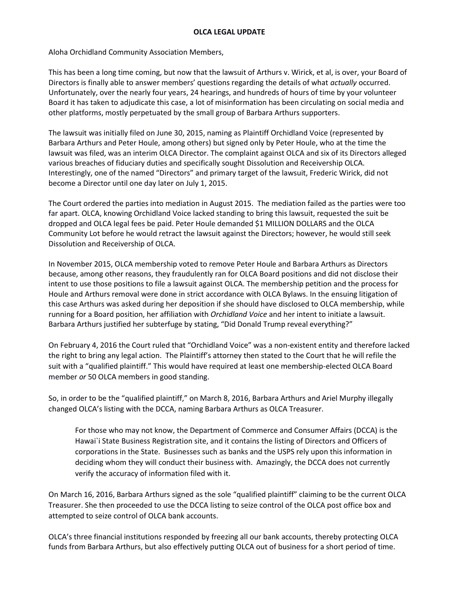Aloha Orchidland Community Association Members,

This has been a long time coming, but now that the lawsuit of Arthurs v. Wirick, et al, is over, your Board of Directors is finally able to answer members' questions regarding the details of what *actually* occurred. Unfortunately, over the nearly four years, 24 hearings, and hundreds of hours of time by your volunteer Board it has taken to adjudicate this case, a lot of misinformation has been circulating on social media and other platforms, mostly perpetuated by the small group of Barbara Arthurs supporters.

The lawsuit was initially filed on June 30, 2015, naming as Plaintiff Orchidland Voice (represented by Barbara Arthurs and Peter Houle, among others) but signed only by Peter Houle, who at the time the lawsuit was filed, was an interim OLCA Director. The complaint against OLCA and six of its Directors alleged various breaches of fiduciary duties and specifically sought Dissolution and Receivership OLCA. Interestingly, one of the named "Directors" and primary target of the lawsuit, Frederic Wirick, did not become a Director until one day later on July 1, 2015.

The Court ordered the parties into mediation in August 2015. The mediation failed as the parties were too far apart. OLCA, knowing Orchidland Voice lacked standing to bring this lawsuit, requested the suit be dropped and OLCA legal fees be paid. Peter Houle demanded \$1 MILLION DOLLARS and the OLCA Community Lot before he would retract the lawsuit against the Directors; however, he would still seek Dissolution and Receivership of OLCA.

In November 2015, OLCA membership voted to remove Peter Houle and Barbara Arthurs as Directors because, among other reasons, they fraudulently ran for OLCA Board positions and did not disclose their intent to use those positions to file a lawsuit against OLCA. The membership petition and the process for Houle and Arthurs removal were done in strict accordance with OLCA Bylaws. In the ensuing litigation of this case Arthurs was asked during her deposition if she should have disclosed to OLCA membership, while running for a Board position, her affiliation with *Orchidland Voice* and her intent to initiate a lawsuit. Barbara Arthurs justified her subterfuge by stating, "Did Donald Trump reveal everything?"

On February 4, 2016 the Court ruled that "Orchidland Voice" was a non-existent entity and therefore lacked the right to bring any legal action. The Plaintiff's attorney then stated to the Court that he will refile the suit with a "qualified plaintiff." This would have required at least one membership-elected OLCA Board member *or* 50 OLCA members in good standing.

So, in order to be the "qualified plaintiff," on March 8, 2016, Barbara Arthurs and Ariel Murphy illegally changed OLCA's listing with the DCCA, naming Barbara Arthurs as OLCA Treasurer.

For those who may not know, the Department of Commerce and Consumer Affairs (DCCA) is the Hawai`i State Business Registration site, and it contains the listing of Directors and Officers of corporations in the State. Businesses such as banks and the USPS rely upon this information in deciding whom they will conduct their business with. Amazingly, the DCCA does not currently verify the accuracy of information filed with it.

On March 16, 2016, Barbara Arthurs signed as the sole "qualified plaintiff" claiming to be the current OLCA Treasurer. She then proceeded to use the DCCA listing to seize control of the OLCA post office box and attempted to seize control of OLCA bank accounts.

OLCA's three financial institutions responded by freezing all our bank accounts, thereby protecting OLCA funds from Barbara Arthurs, but also effectively putting OLCA out of business for a short period of time.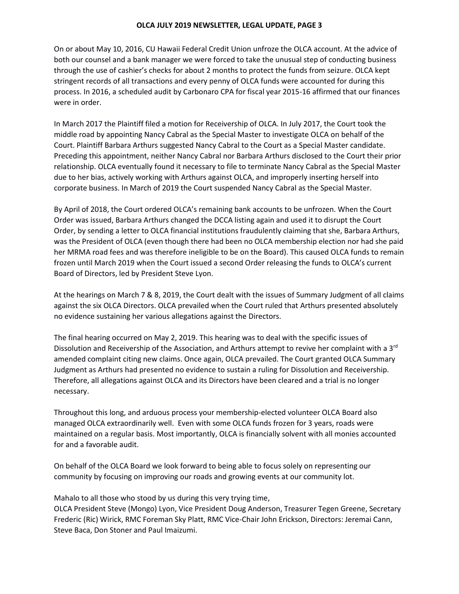#### **OLCA JULY 2019 NEWSLETTER, LEGAL UPDATE, PAGE 3**

On or about May 10, 2016, CU Hawaii Federal Credit Union unfroze the OLCA account. At the advice of both our counsel and a bank manager we were forced to take the unusual step of conducting business through the use of cashier's checks for about 2 months to protect the funds from seizure. OLCA kept stringent records of all transactions and every penny of OLCA funds were accounted for during this process. In 2016, a scheduled audit by Carbonaro CPA for fiscal year 2015-16 affirmed that our finances were in order.

In March 2017 the Plaintiff filed a motion for Receivership of OLCA. In July 2017, the Court took the middle road by appointing Nancy Cabral as the Special Master to investigate OLCA on behalf of the Court. Plaintiff Barbara Arthurs suggested Nancy Cabral to the Court as a Special Master candidate. Preceding this appointment, neither Nancy Cabral nor Barbara Arthurs disclosed to the Court their prior relationship. OLCA eventually found it necessary to file to terminate Nancy Cabral as the Special Master due to her bias, actively working with Arthurs against OLCA, and improperly inserting herself into corporate business. In March of 2019 the Court suspended Nancy Cabral as the Special Master.

By April of 2018, the Court ordered OLCA's remaining bank accounts to be unfrozen. When the Court Order was issued, Barbara Arthurs changed the DCCA listing again and used it to disrupt the Court Order, by sending a letter to OLCA financial institutions fraudulently claiming that she, Barbara Arthurs, was the President of OLCA (even though there had been no OLCA membership election nor had she paid her MRMA road fees and was therefore ineligible to be on the Board). This caused OLCA funds to remain frozen until March 2019 when the Court issued a second Order releasing the funds to OLCA's current Board of Directors, led by President Steve Lyon.

At the hearings on March 7 & 8, 2019, the Court dealt with the issues of Summary Judgment of all claims against the six OLCA Directors. OLCA prevailed when the Court ruled that Arthurs presented absolutely no evidence sustaining her various allegations against the Directors.

The final hearing occurred on May 2, 2019. This hearing was to deal with the specific issues of Dissolution and Receivership of the Association, and Arthurs attempt to revive her complaint with a  $3<sup>rd</sup>$ amended complaint citing new claims. Once again, OLCA prevailed. The Court granted OLCA Summary Judgment as Arthurs had presented no evidence to sustain a ruling for Dissolution and Receivership. Therefore, all allegations against OLCA and its Directors have been cleared and a trial is no longer necessary.

Throughout this long, and arduous process your membership-elected volunteer OLCA Board also managed OLCA extraordinarily well. Even with some OLCA funds frozen for 3 years, roads were maintained on a regular basis. Most importantly, OLCA is financially solvent with all monies accounted for and a favorable audit.

On behalf of the OLCA Board we look forward to being able to focus solely on representing our community by focusing on improving our roads and growing events at our community lot.

Mahalo to all those who stood by us during this very trying time,

OLCA President Steve (Mongo) Lyon, Vice President Doug Anderson, Treasurer Tegen Greene, Secretary Frederic (Ric) Wirick, RMC Foreman Sky Platt, RMC Vice-Chair John Erickson, Directors: Jeremai Cann, Steve Baca, Don Stoner and Paul Imaizumi.